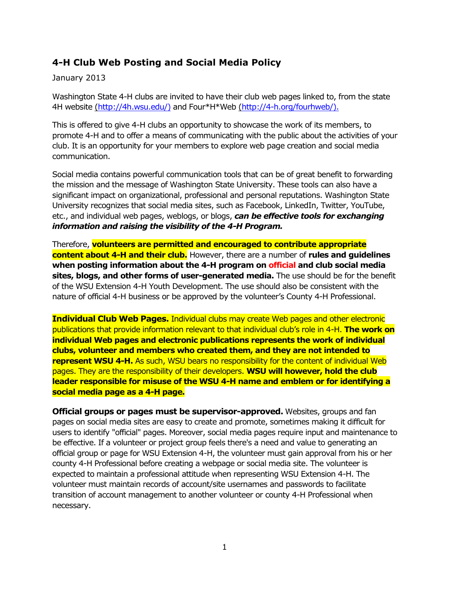## **4-H Club Web Posting and Social Media Policy**

## January 2013

Washington State 4-H clubs are invited to have their club web pages linked to, from the state 4H website [\(http://4h.wsu.edu/\)](http://4h.wsu.edu/)) and Four\*H\*Web [\(http://4-h.org/fourhweb/\).](http://4-h.org/fourhweb/).)

This is offered to give 4-H clubs an opportunity to showcase the work of its members, to promote 4-H and to offer a means of communicating with the public about the activities of your club. It is an opportunity for your members to explore web page creation and social media communication.

Social media contains powerful communication tools that can be of great benefit to forwarding the mission and the message of Washington State University. These tools can also have a significant impact on organizational, professional and personal reputations. Washington State University recognizes that social media sites, such as Facebook, LinkedIn, Twitter, YouTube, etc., and individual web pages, weblogs, or blogs, *can be effective tools for exchanging information and raising the visibility of the 4-H Program.*

Therefore, **volunteers are permitted and encouraged to contribute appropriate content about 4-H and their club.** However, there are a number of **rules and guidelines when posting information about the 4-H program on official and club social media sites, blogs, and other forms of user-generated media.** The use should be for the benefit of the WSU Extension 4-H Youth Development. The use should also be consistent with the nature of official 4-H business or be approved by the volunteer's County 4-H Professional.

**Individual Club Web Pages.** Individual clubs may create Web pages and other electronic publications that provide information relevant to that individual club's role in 4-H. **The work on individual Web pages and electronic publications represents the work of individual clubs, volunteer and members who created them, and they are not intended to represent WSU 4-H.** As such, WSU bears no responsibility for the content of individual Web pages. They are the responsibility of their developers. **WSU will however, hold the club leader responsible for misuse of the WSU 4-H name and emblem or for identifying a social media page as a 4-H page.**

**Official groups or pages must be supervisor-approved.** Websites, groups and fan pages on social media sites are easy to create and promote, sometimes making it difficult for users to identify "official" pages. Moreover, social media pages require input and maintenance to be effective. If a volunteer or project group feels there's a need and value to generating an official group or page for WSU Extension 4-H, the volunteer must gain approval from his or her county 4-H Professional before creating a webpage or social media site. The volunteer is expected to maintain a professional attitude when representing WSU Extension 4-H. The volunteer must maintain records of account/site usernames and passwords to facilitate transition of account management to another volunteer or county 4-H Professional when necessary.